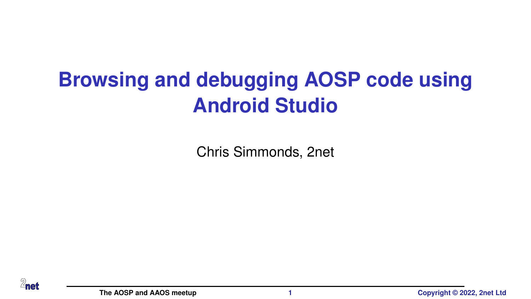# <span id="page-0-0"></span>**Browsing and debugging AOSP code using Android Studio**

Chris Simmonds, 2net

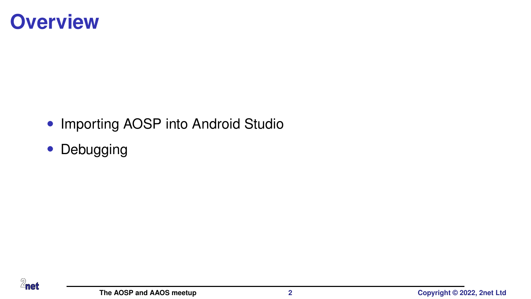### **Overview**

- Importing AOSP into Android Studio
- Debugging

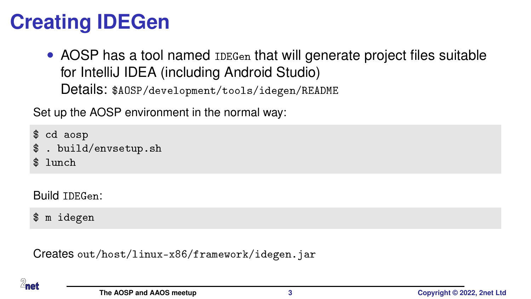# **Creating IDEGen**

• AOSP has a tool named **IDEGen** that will generate project files suitable for IntelliJ IDEA (including Android Studio) Details: \$AOSP/development/tools/idegen/README

Set up the AOSP environment in the normal way:

\$ cd aosp

- \$ . build/envsetup.sh
- $$$  lunch

Build IDEGen:

\$ m idegen

Creates out/host/linux-x86/framework/idegen.jar

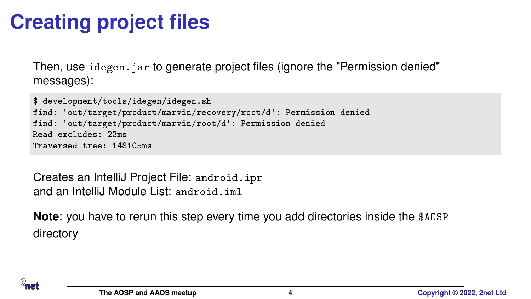# **Creating project files**

Then, use idegen. jar to generate project files (ignore the "Permission denied" messages):

```
$ development/tools/idegen/idegen.sh
find: 'out/target/product/marvin/recovery/root/d': Permission denied
find: 'out/target/product/marvin/root/d': Permission denied
Read excludes: 23ms
Traversed tree: 148105ms
```
Creates an IntelliJ Project File: android.ipr and an IntelliJ Module List: android.iml

**Note**: you have to rerun this step every time you add directories inside the \$AOSP directory

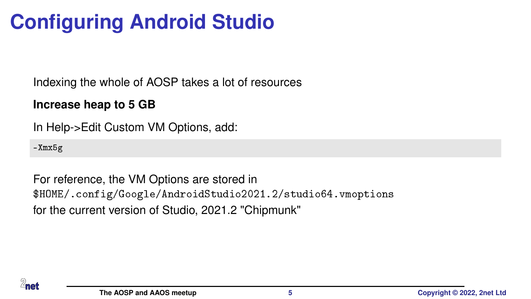# **Configuring Android Studio**

Indexing the whole of AOSP takes a lot of resources

#### **Increase heap to 5 GB**

In Help->Edit Custom VM Options, add:

-Xmx5g

For reference, the VM Options are stored in \$HOME/.config/Google/AndroidStudio2021.2/studio64.vmoptions for the current version of Studio, 2021.2 "Chipmunk"

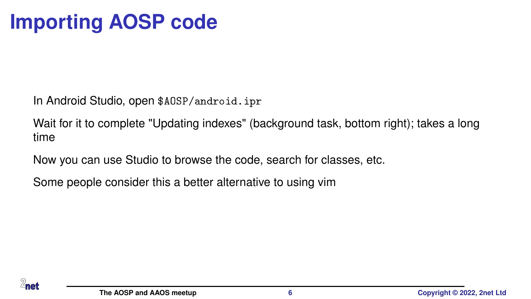## **Importing AOSP code**

In Android Studio, open \$AOSP/android.ipr

Wait for it to complete "Updating indexes" (background task, bottom right); takes a long time

Now you can use Studio to browse the code, search for classes, etc.

Some people consider this a better alternative to using vim

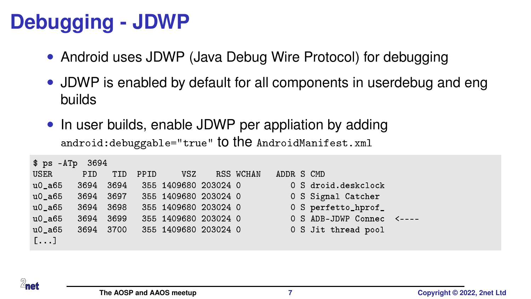# **Debugging - JDWP**

- Android uses JDWP (Java Debug Wire Protocol) for debugging
- JDWP is enabled by default for all components in userdebug and eng builds
- In user builds, enable JDWP per appliation by adding android:debuggable="true" to the AndroidManifest.xml

| \$ ps -ATp            | 3694 |      |      |                      |           |            |                           |  |
|-----------------------|------|------|------|----------------------|-----------|------------|---------------------------|--|
| USER                  | PID. | TID  | PPID | vsz                  | RSS WCHAN | ADDR S CMD |                           |  |
| $u0_a65$              | 3694 | 3694 |      | 355 1409680 203024 0 |           |            | 0 S droid deskclock       |  |
| u0 a65                | 3694 | 3697 |      | 355 1409680 203024 0 |           |            | 0 S Signal Catcher        |  |
| u0 a65                | 3694 | 3698 |      | 355 1409680 203024 0 |           |            | 0 S perfetto_hprof_       |  |
| u0 a65                | 3694 | 3699 |      | 355 1409680 203024 0 |           |            | 0 S ADB-JDWP Connec <---- |  |
| u0 a65                | 3694 | 3700 |      | 355 1409680 203024 0 |           |            | 0 S Jit thread pool       |  |
| $\left[\ldots\right]$ |      |      |      |                      |           |            |                           |  |

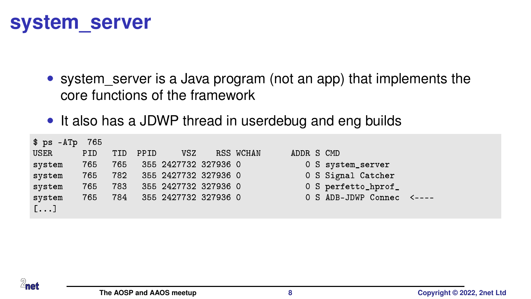#### **system\_server**

- system server is a Java program (not an app) that implements the core functions of the framework
- It also has a JDWP thread in userdebug and eng builds

|                                       | \$ ps -ATp | 765 |     |      |                      |           |            |                           |  |
|---------------------------------------|------------|-----|-----|------|----------------------|-----------|------------|---------------------------|--|
| USER                                  |            | PID | TID | PPID | VSZ                  | RSS WCHAN | ADDR S CMD |                           |  |
| system                                |            | 765 | 765 |      | 355 2427732 327936 0 |           |            | 0 S system_server         |  |
| system                                |            | 765 | 782 |      | 355 2427732 327936 0 |           |            | 0 S Signal Catcher        |  |
| system                                |            | 765 | 783 |      | 355 2427732 327936 0 |           |            | 0 S perfetto_hprof_       |  |
| system                                |            | 765 | 784 |      | 355 2427732 327936 0 |           |            | 0 S ADB-JDWP Connec <---- |  |
| $\begin{bmatrix} 1 & 1 \end{bmatrix}$ |            |     |     |      |                      |           |            |                           |  |
|                                       |            |     |     |      |                      |           |            |                           |  |

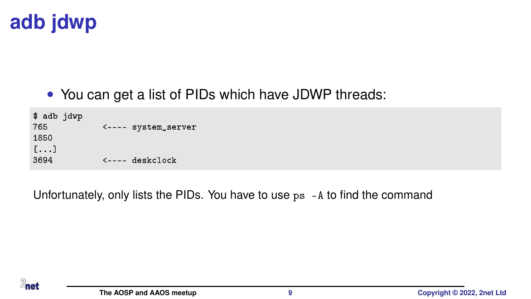

• You can get a list of PIDs which have JDWP threads:

\$ adb jdwp 765 <---- system\_server 1850 [...]  $3694$   $\leftarrow$  deskclock

Unfortunately, only lists the PIDs. You have to use ps -A to find the command

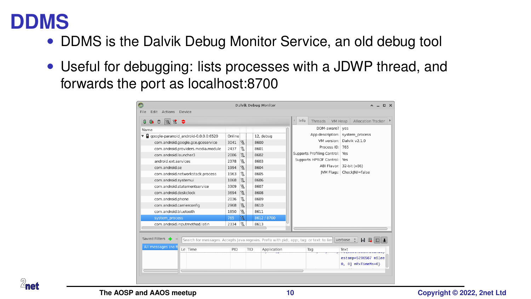#### **DDMS**

- DDMS is the Dalvik Debug Monitor Service, an old debug tool
- Useful for debugging: lists processes with a JDWP thread, and forwards the port as localhost:8700

| .<br>Θ                                                 |              |    |             |             |                                 | d Info | Threads VM Heap             |                 |                                            | Allocation Tracker |  |
|--------------------------------------------------------|--------------|----|-------------|-------------|---------------------------------|--------|-----------------------------|-----------------|--------------------------------------------|--------------------|--|
| Name                                                   |              |    |             |             |                                 |        |                             |                 | DDM-aware? ves                             |                    |  |
| $\mathbf{v}$ .<br>google-paranoid android-0.0.0.0:6520 | Online       |    | 12. debug   |             |                                 |        |                             |                 | App description: system process            |                    |  |
| com.android.google.gce.gceservice                      | 3041         | 卷  |             | 8600        |                                 |        |                             |                 | VM version: Dalvik v2.1.0                  |                    |  |
| com.android.providers.media.module                     | 2437         | 裝  |             | 8601        |                                 |        |                             | Process ID: 765 |                                            |                    |  |
| com.android.launcher3                                  | 2086         | 隆  |             | 8602        | Supports Profiling Control: Yes |        |                             |                 |                                            |                    |  |
| android ext services                                   | 2378         | 毯  | <b>E038</b> |             |                                 |        | Supports HPROF Control: Yes |                 |                                            |                    |  |
| com.android.se                                         | 1994         | L. |             | 8604        |                                 |        |                             |                 | ABI Flavor: 32-bit (x86)                   |                    |  |
| com.android.networkstack.process                       | 1963         | 號  |             | 8605        |                                 |        |                             |                 | IVM Flags: CheckINI=false                  |                    |  |
| com.android.systemui                                   | 1868         | 塊  |             | 8606        |                                 |        |                             |                 |                                            |                    |  |
| com.android.statementservice                           | 3309         | 篭  |             | 8607        |                                 |        |                             |                 |                                            |                    |  |
| com.android.deskclock                                  |              | 瓷  |             | 8608        |                                 |        |                             |                 |                                            |                    |  |
| com.android.phone                                      |              | 塩  |             | 8609        |                                 |        |                             |                 |                                            |                    |  |
| com.android.carrierconfig                              | 2036<br>2968 | 斐  |             | 8610        |                                 |        |                             |                 |                                            |                    |  |
| com.android.bluetooth                                  |              | 篭  |             | 8611        |                                 |        |                             |                 |                                            |                    |  |
| system process                                         |              | 哉  |             | 8612 / 8700 |                                 |        |                             |                 |                                            |                    |  |
| com.android.inputmethod.latin                          |              | 笺  |             | 8613        |                                 |        |                             |                 |                                            |                    |  |
|                                                        | 2334         |    |             |             |                                 |        |                             |                 |                                            |                    |  |
|                                                        |              |    |             |             |                                 |        |                             |                 |                                            |                    |  |
| Saved Filters $\frac{1}{2}$ =                          |              |    |             |             |                                 |        |                             |                 |                                            |                    |  |
| All messages (no f<br>Le Time                          | PID          |    | TID         | Application |                                 |        | Tag                         |                 | Text<br>---------                          |                    |  |
|                                                        |              |    |             |             |                                 |        |                             |                 | estamp=5296567 mSlee<br>0, 0] mRxTimeMs=0} |                    |  |

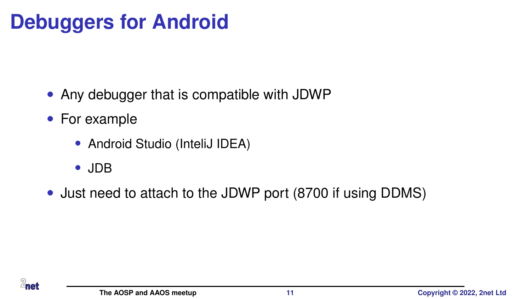# **Debuggers for Android**

- Any debugger that is compatible with JDWP
- For example
	- Android Studio (InteliJ IDEA)
	- JDB
- Just need to attach to the JDWP port (8700 if using DDMS)

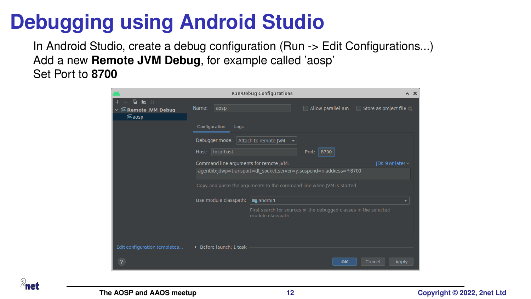## **Debugging using Android Studio**

In Android Studio, create a debug configuration (Run -> Edit Configurations...) Add a new **Remote JVM Debug**, for example called 'aosp' Set Port to **8700**



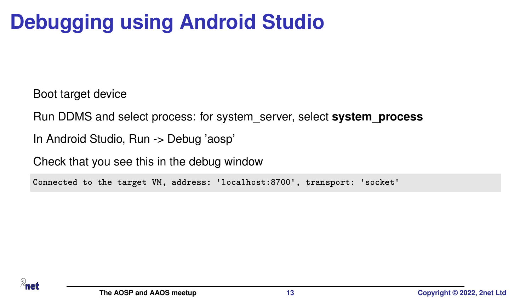# **Debugging using Android Studio**

Boot target device

Run DDMS and select process: for system\_server, select **system\_process**

In Android Studio, Run -> Debug 'aosp'

Check that you see this in the debug window

Connected to the target VM, address: 'localhost:8700', transport: 'socket'